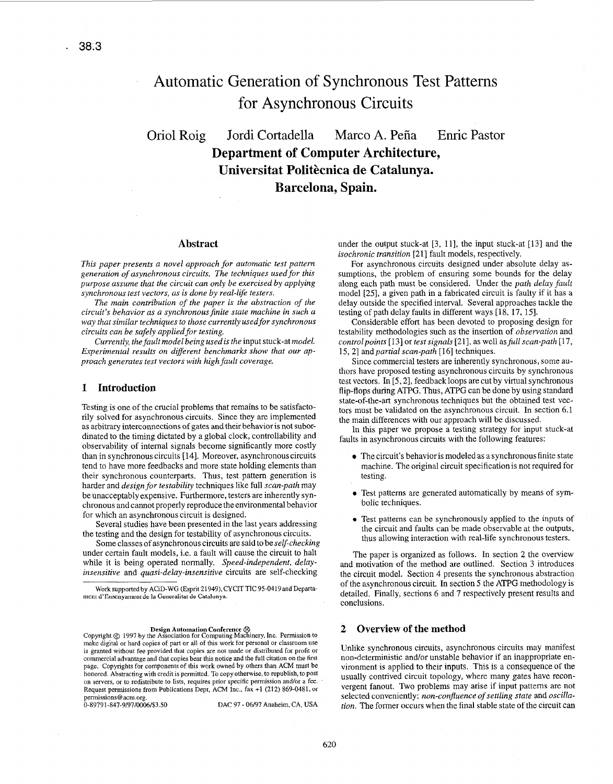# Automatic Generation of Synchronous Test Patterns for Asynchronous Circuits

Oriol Roig Jordi Cortadella Marco **A.** Peiia Enric Pastor **Department of Computer Architecture, Universitat Politècnica de Catalunya. Barcelona, Spain.** 

#### **Abstract**

*This paper presents a novel approach for automatic test pattern generation of asynchronous circuits, The techniques used for this purpose assume that the circuit can only be exercised by applying synchronous test vectors, as is done by real-life testers.* 

*The main contribution of the paper is the abstraction of the circuit's behavior as a synchronousfinite state machine in such a way that similar techniques to those currently usedfor synchronous circuits can be safely applied for testing.* 

*Currently, the fault model being used is the* input stuck-at *model. Experimental results on different benchmarks show that our approach generates test vectors with high fault coverage.* 

### **1 Introduction**

Testing is one of the crucial problems that remains to be satisfactorily solved for asynchronous circuits. Since they are implemented as arbitrary interconnections of gates and their behavior is not subordinated to the timing dictated by a global clock, controllability and observability of intemal signals become significantly more costly than in synchronous circuits [ 141. Moreover, asynchronouscircuits tend to have more feedbacks and more state holding elements than their synchronous counterparts. Thus, test pattern generation is harder and *design for testability* techniques like full *scan-path* may be unacceptably expensive. Furthermore, testers are inherently synchronous and cannot properly reproduce the environmental behavior for which an asynchronous circuit is designed.

Several studies have been presented in the last years addressing the testing and the design for testability of asynchronous circuits.

Some classes of asynchronous circuits are said to be *self-checking* under certain fault models, i.e. a fault will cause the circuit to halt while it is being operated normally. *Speed-independent, delayinsensitive* and *quasi-delay-insensitive* circuits are self-checking

**Design Automation Conference ®**<br>Copyright © 1997 by the Association for Computing Machinery, Inc. Permission to make digital or hard copies of part or all of this work for personal or classroom use is granted without fee provided that copies are not made or distributed for profit or commercial advantage and that copies bear this notice and the full citation on the first page. Copyrights for components of this **work** owned by others than ACM must be honored. Abstracting with credit is permitted, To copy otherwise, to republish, to **post**  on servers, or to redistribute to lists, requires prior specific permission and/or a fee Request permissions from Publications Dept, ACM Inc., fax **+1** (212) 869-0481, or

[permissions@acm.org.](mailto:permissions@acm.org)<br>0-89791-847-9/97/0006/\$3.50

DAC 97 - 06/97 Anaheim, CA, USA

under the output stuck-at [3, 111, the input stuck-at [13] and the *isochronic transition* [21] fault models, respectively.

For asynchronous circuits designed under absolute delay assumptions, the problem of ensuring some bounds for the delay along each path must be considered. Under the *path delay fault*  model *[25],* a given path in a fabricated circuit is faulty if it has a delay outside the specified interval. Several approaches tackle the testing of path delay faults in different ways [18, 17, 151.

Considerable effort has been devoted to proposing design for testability methodologies such as the insertion of *observation* and *controlpoints* [13] or *test signals* [21], as well *asfull scan-path* [17, 15, 2] and *partial scan-path* [16] techniques.

Since commercial testers are inherently synchronous, some authors have proposed testing asynchronous circuits by synchronous test vectors. In [5,2], feedbackloops are cut by virtual synchronous flip-flops during ATPG. Thus, ATPG can be done by using standard state-of-the-art synchronous techniques but the obtained test vectors must be validated on the asynchronous circuit. In section 6.1 the main differences with our approach will be discussed.

In this paper we propose a testing strategy for input stuck-at faults in asynchronous circuits with the following features:

- The circuit's behavior is modeled as a synchronous finite state machine. The original circuit specification is not required for testing.
- Test patterns are generated automatically by means of symbolic techniques.
- Test pattems can be synchronously applied to the inputs of the circuit and faults can be made observable at the outputs, thus allowing interaction with real-life synchronous testers.

The paper is organized as follows. In section 2 the overview and motivation of the method are outlined. Section 3 introduces the circuit model. Section 4 presents the synchronous abstraction of the asynchronous circuit. In section *5* the ATPG methodology is detailed. Finally, sections 6 and 7 respectively present results and conclusions.

### **2 Overview of the method**

Unlike synchronous circuits, asynchronous circuits may manifest non-deterministic and/or unstable behavior if an inappropriate environment is applied to their inputs. This is a consequence of the usually contrived circuit topology, where many gates have reconvergent fanout. Two problems may arise if input pattems are not selected conveniently: *non-confluence* of *settling state* and *oscillation.* The former occurs when the final stable state of the circuit can

**Work** supported by ACiD-WG (Esprit 21949), CYCIT **TIC** 95-0419and Departament d'Ensenyament de **la** Generalitat de Catalunya.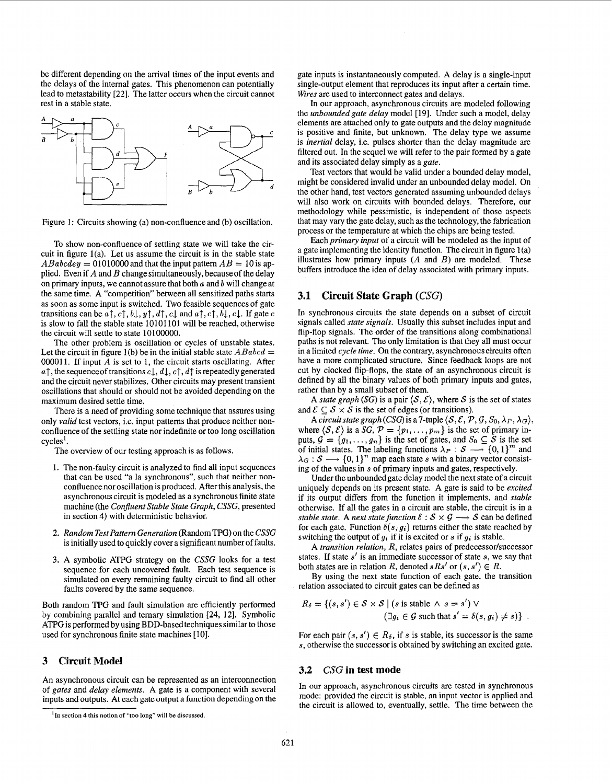be different depending on the arrival times of the input events and the delays of the internal gates. This phenomenon can potentially lead to metastability **[22].** The latter occurs when the circuit cannot rest in a stable state.



Figure 1: Circuits showing (a) non-confluence and (b) oscillation.

To show non-confluence of settling state we will take the circuit in figure  $1(a)$ . Let us assume the circuit is in the stable state  $ABabcdey = 01010000$  and that the input pattern  $AB = 10$  is applied. Even if **A** and *B* change simultaneously, because of the delay on primary inputs, we cannot assure that both a and *b* will change at the same time. A "competition" between all sensitized paths starts as soon as some input is switched. Two feasible sequences of gate transitions can be  $a\uparrow$ ,  $c\uparrow$ ,  $b\downarrow$ ,  $y\uparrow$ ,  $d\uparrow$ ,  $c\downarrow$  and  $a\uparrow$ ,  $c\uparrow$ ,  $b\downarrow$ ,  $c\downarrow$ . If gate  $c$ is slow to fall the stable state 10101 101 will be reached, otherwise the circuit will settle to state 10100000.

The other problem is oscillation or cycles of unstable states. Let the circuit in figure 1(b) be in the initial stable state  $ABabcd =$ 00001 *1.* If input *A* is set to **1,** the circuit starts oscillating. After  $a\uparrow$ , the sequence of transitions  $c\downarrow$ ,  $d\downarrow$ ,  $c\uparrow$ ,  $d\uparrow$  is repeatedly generated and the circuit never stabilizes. Other circuits may present transient oscillations that should or should not be avoided depending on the maximum desired settle time.

There is a need of providing some technique that assures using only *valid* test vectors, i.e. input patterns that produce neither nonconfluence of the settling state nor indefinite or too long oscillation cycles'.

The overview of our testing approach is as follows.

- 1. The non-faulty circuit is analyzed to find all input sequences that can be used "a la synchronous", such that neither nonconfluence nor oscillation is produced. After this analysis, the asynchronous circuit is modeled as a synchronous finite state machine (the *Confluent Stable State Graph, CSSG,* presented in section **4)** with deterministic behavior.
- **2.**  *Random Test Pattern Generation* (Random TPG) on the CSSG is initially used to quickly cover a significant number of faults.
- 3. A symbolic ATPG strategy on the *CSSG* looks for a test sequence for each uncovered fault. Each test sequence is simulated on every remaining faulty circuit to find all other faults covered by the same sequence.

Both random TPG and fault simulation are efficiently performed by combining parallel and ternary simulation **[24,** 121. Symbolic ATPG is performed by using BDD-based techniques similar to those used for synchronous finite state machines [10].

#### **3 Circuit Model**

An asynchronous circuit can be represented as an interconnection of *gates* and *delay elements.* **A** gate is a component with several inputs and outputs. At each gate output a function dependingon the gate inputs is instantaneously computed. A delay is a single-input single-output element that reproduces its input after a certain time. *Wires* are used to interconnect gates and delays.

In our approach, asynchronous circuits are modeled following the *unbounded gate delay* model [ 191. Under such a model, delay elements are attached only to gate outputs and the delay magnitude is positive and finite, but unknown. The delay type we assume is *inertial* delay, i.e. pulses shorter than the delay magnitude are filtered out. In the sequel we will refer to the pair formed by a gate and its associated delay simply as a *gate.* 

Test vectors that would be valid under a bounded delay model, might be considered invalid under an unbounded delay model. On the other hand, test vectors generated assuming unbounded delays will also work on circuits with bounded delays. Therefore, our methodology while pessimistic, is independent of those aspects that may vary the gate delay, such as the technology, the fabrication process or the temperature at which the chips are being tested.

Each *primary input* of a circuit will be modeled as the input of a gate implementing the identity function. The circuit in figure  $1(a)$ illustrates how primary inputs **(A** and *B)* are modeled. These buffers introduce the idea of delay associated with primary inputs.

### **3.1 Circuit State Graph** (CSG)

In synchronous circuits the state depends on a subset of circuit signals called *state signals.* Usually this subset includes input and flip-flop signals. The order of the transitions along combinational paths is not relevant. The only limitation is that they all must occur in a limited *cycle time*. On the contrary, asynchronous circuits often have a more complicated structure. Since feedback loops are not cut by clocked flip-flops, the state of an asynchronous circuit is defined by all the binary values of both primary inputs and gates, rather than by a small subset of them.

A *state graph* (SG) is a pair  $\langle S, \mathcal{E} \rangle$ , where S is the set of states and  $\mathcal{E} \subset \mathcal{S} \times \mathcal{S}$  is the set of edges (or transitions).

*A circuit state graph (CSG) is a 7-tuple*  $(S, \mathcal{E}, \mathcal{P}, \mathcal{G}, S_0, \lambda_P, \lambda_G)$ *,* where  $\langle S, \mathcal{E} \rangle$  is a *SG*,  $\mathcal{P} = \{p_1, \ldots, p_m\}$  is the set of primary inputs,  $G = \{g_1, \ldots, g_n\}$  is the set of gates, and  $S_0 \subseteq S$  is the set of initial states. The labeling functions  $\lambda_P$  :  $S \longrightarrow \{0, 1\}^m$  and  $\lambda_G : S \longrightarrow \{0, 1\}^n$  map each state s with a binary vector consisting of the values in s of primary inputs and gates, respectively.

Under the unboundedgate delay model the next state of a circuit uniquely depends on its present state. A gate is said to be *excited*  if its output differs from the function it implements, and *stable*  otherwise. If all the gates in a circuit are stable, the circuit is in a *stable state.* A *next state function*  $\delta$  :  $S \times G \longrightarrow S$  can be defined for each gate. Function  $\delta(s, g_i)$  returns either the state reached by switching the output of  $g_i$  if it is excited or  $s$  if  $g_i$  is stable.

A *transition relation, R, relates pairs of predecessor/successor* states. If state s' is an immediate successor of state **s,** we say that both states are in relation *R*, denoted  $sRs'$  or  $(s, s') \in R$ .

By using the next state function of each gate, the transition relation associated to circuit gates can be defined as

$$
R_{\delta} = \{(s, s') \in \mathcal{S} \times \mathcal{S} \mid (s \text{ is stable } \land s = s') \lor (\exists g_i \in \mathcal{G} \text{ such that } s' = \delta(s, g_i) \neq s)\}.
$$

For each pair  $(s, s') \in R_{\delta}$ , if s is stable, its successor is the same s, otherwise the successor is obtained by switching an excited gate.

#### **3.2** *CSG* **in test mode**

In our approach, asynchronous circuits are tested in synchronous mode: provided the circuit is stable, an input vector **is** applied and the circuit is allowed to, eventually, settle. The time between the

**<sup>&#</sup>x27;In section 4 this notion of "too long" will be discussed.**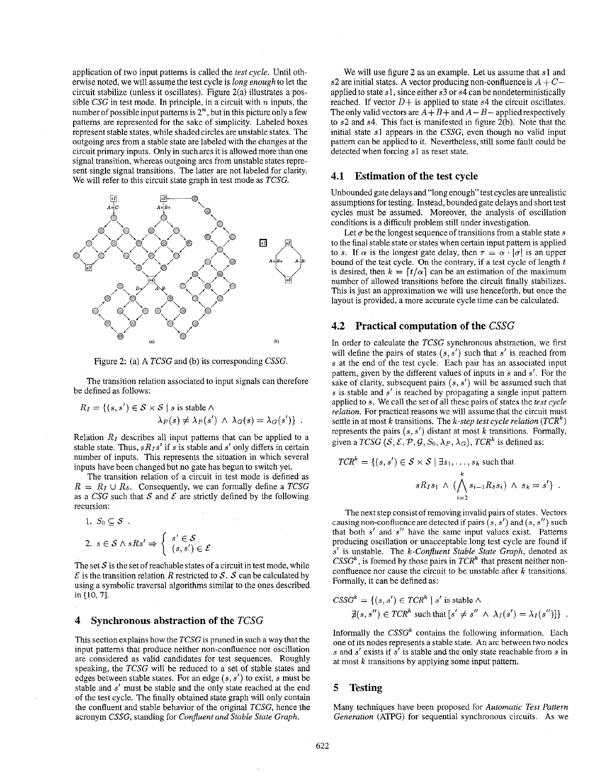application of two input pattems is called the *test cycle.* Until otherwise noted, we will assume the test cycle is *long enough* to let the circuit stabilize (unless it oscillates). Figure 2(a) illustrates a possible *CSG* in test mode. In principle, in a circuit with *n* inputs, the number of possible input patterns is  $2<sup>n</sup>$ , but in this picture only a few pattems are represented for the sake of simplicity. Labeled boxes represent stable states, while shadedcircles are unstable states. The outgoing arcs from a stable state are labeled with the changes at the circuit primary inputs. Only in such arcs it is allowed more than one signal transition, whereas outgoing arcs from unstable states represent single signal transitions. The latter are not labeled for clarity. We will refer to this circuit state graph in test mode as *TCSG.* 



Figure 2: (a) **A** *TCSG* and (b) its corresponding *CSSG.* 

The transition relation associated to input signals can therefore be defined as follows:

$$
R_I = \{(s, s') \in S \times S \mid s \text{ is stable } \land \lambda_P(s) \neq \lambda_P(s') \land \lambda_G(s) = \lambda_G(s')\}.
$$

Relation  $R_I$  describes all input patterns that can be applied to a stable state. Thus,  $sR<sub>1</sub>s'$  if *s* is stable and s' only differs in certain number of inputs. This represents the situation in which several inputs have been changed but no gate has begun to switch yet.

The transition relation of a circuit in test mode is defined as  $R = R_I \cup R_\delta$ . Consequently, we can formally define a *TCSG* as a  $CSG$  such that  $S$  and  $E$  are strictly defined by the following recursion:

1. 
$$
S_0 \subseteq S
$$
.  
2.  $s \in S \land sRs' \Rightarrow \begin{cases} s' \in S \\ (s, s') \in \mathcal{E} \end{cases}$ 

The set  $S$  is the set of reachable states of a circuit in test mode, while  $\mathcal E$  is the transition relation *R* restricted to  $\mathcal S$ .  $\mathcal S$  can be calculated by using a symbolic traversal algorithms similar to the ones described in [lo, **71.** 

#### **4 Synchronous abstraction of the** *TCSG*

This section explains how the *TCSG* is pruned in such a way that the input pattems that produce neither non-confluence nor oscillation are considered as valid candidates for test sequences. Roughly speaking, the *TCSG* will be reduced to a set of stable states and edges between stable states. For an edge  $(s, s')$  to exist,  $s$  must be stable and s' must be stable and the only state reached at the end of the test cycle. The finally obtained state graph will only contain the confluent and stable behavior of the original *TCSG,* hence the acronym *CSSG*, standing for *Confluent and Stable State Graph*.

We will use figure 2 as an example. Let us assume that s1 and s2 are initial states. A vector producing non-confluence is  $A + C$ applied to state s **1,** since either **93** or **94** can be nondeterministically reached. If vector  $D+$  is applied to state  $s4$  the circuit oscillates. The only valid vectors are  $A + B +$  and  $A - B -$  applied respectively to  $s2$  and  $s4$ . This fact is manifested in figure 2(b). Note that the initial state s1 appears in the *CSSG,* even though no valid input pattem can be applied to it. Nevertheless, still some fault could be detected when forcing s1 as reset state.

# **4.1 Estimation of the test cycle**

Unbounded gate delays and "long enough" test cycles are unrealistic assumptions for testing. Instead, boundedgate delays and short test cycles must be assumed. Moreover, the analysis of oscillation conditions is a difficult problem still under investigation.

Let  $\sigma$  be the longest sequence of transitions from a stable state  $\sigma$ to the final stable state or states when certain input pattem is applied to *s*. If  $\alpha$  is the longest gate delay, then  $\tau = \alpha \cdot |\sigma|$  is an upper bound of the test cycle. On the contrary, if a test cycle of length *t*  is desired, then  $k = \lfloor t/\alpha \rfloor$  can be an estimation of the maximum number of allowed transitions before the circuit finally stabilizes. This is just an approximation we will use henceforth, but once the layout is provided, a more accurate cycle time can be calculated.

#### **4.2 Practical computation of the CSSG**

In order to calculate the *TCSG* synchronous abstraction, we first will define the pairs of states  $(s, s')$  such that  $s'$  is reached from s at the end of the test cycle. Each pair has an associated input pattern, given by the different values of inputs in  $s$  and  $s'$ . For the sake of clarity, subsequent pairs  $(s, s')$  will be assumed such that s is stable and s' is reached by propagating a single input pattern applied to s. We call the set of all these pairs of states the *test cycle relation.* For practical reasons we will assume that the circuit must settle in at most *k* transitions. The *k*-step test cycle relation ( $TCR^k$ ) represents the pairs  $(s, s')$  distant at most *k* transitions. Formally, given a *TCSG*  $(S, \mathcal{E}, \mathcal{P}, \mathcal{G}, S_0, \lambda_P, \lambda_G)$ , *TCR*<sup>k</sup> is defined as:

$$
TCR^{k} = \{(s, s') \in S \times S \mid \exists s_1, \dots, s_k \text{ such that } \newline sR_{I}s_1 \wedge (\bigwedge_{i=1}^{k} s_{i-1}R_{\delta}s_i) \wedge s_k = s' \}.
$$

The next step consist of removing invalid pairs of states. Vectors causing non-confluence are detected if pairs  $(s, s')$  and  $(s, s'')$  such that both  $s'$  and  $s''$  have the same input values exist. Patterns producing oscillation or unacceptable long test cycle are found if s' is unstable. The *k*-Confluent Stable State Graph, denoted as  $CSSG<sup>k</sup>$ , is formed by those pairs in  $TCR<sup>k</sup>$  that present neither nonconfluence nor cause the circuit to be unstable after *k* transitions. Formally, it can be defined as:

$$
CSSG^{k} = \{(s, s') \in TCR^{k} \mid s' \text{ is stable } \land \newline \nexists (s, s'') \in TCR^{k} \text{ such that } [s' \neq s'' \land \lambda_{I}(s') = \lambda_{I}(s'')]\}.
$$

Informally the  $CSSG^k$  contains the following information. Each one ofits nodes represents a stable state. An arc between two nodes s and s' exists if  $s'$  is stable and the only state reachable from s in at most  $k$  transitions by applying some input pattern.

#### *5* **Testing**

Many techniques have been proposed for *Automatic Test Pattern Generation* **(ATPG)** for sequential synchronous circuits. **As** we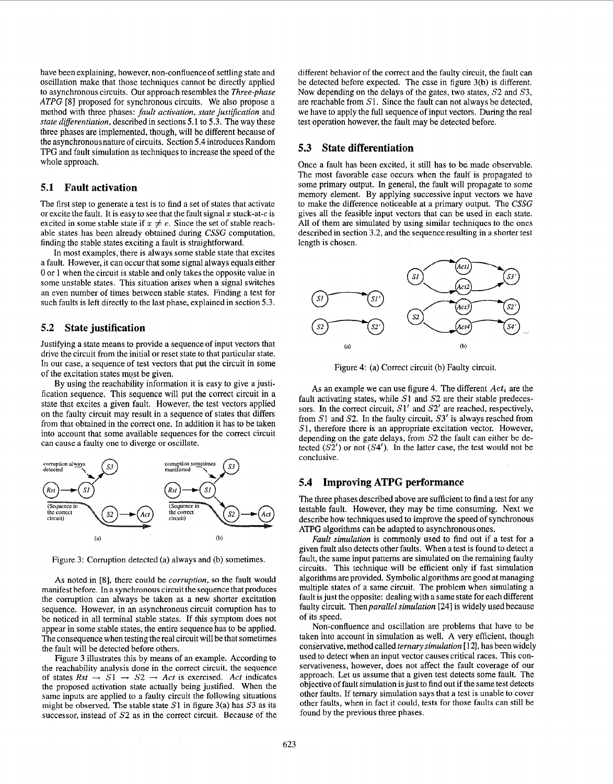have been explaining, however, non-confluence of settling state and oscillation make that those techniques cannot be directly applied to asynchronous circuits. Our approach resembles the *Three-phase ATPG* [8] proposed for synchronous circuits. We also propose a method with three phases: *fault activation, state justification* and *state differentiation,* describedin sections **5.1** to 5.3. The way these three phases are implemented, though, will be different because of the asynchronousnature of circuits. Section **5.4** introduces Random TPG and fault simulation as techniques to increase the speed of the whole approach.

#### **5.1 Fault activation**

The first step to generate a test is to find a set of states that activate or excite the fault. It is easy to see that the fault signal  $x$  stuck-at-c is excited in some stable state if  $x \neq c$ . Since the set of stable reachable states has been already obtained during CSSG computation, finding the stable states exciting a fault is straightforward.

In most examples, there is always some stable state that excites a fault. However, it can occur that some signal always equals either 0 or 1 when the circuit is stable and only takes the opposite value in some unstable states. This situation arises when a signal switches an even number of times between stable states. Finding a test for such faults is left directly to the last phase, explained in section *5.3.* 

#### **5.2 State justification**

Justifying **a** state means to provide a sequence of input vectors that drive the circuit from the initial or reset state to that particular state. In our case, a sequence of test vectors that put the circuit in some of the excitation states must be given.

By using the reachability information it is easy to give a justification sequence. This sequence will put the correct circuit in a state that excites a given fault. However, the test vectors applied on the faulty circuit may result in a sequence of states that differs from that obtained in the correct one. In addition it has to be taken into account that some available sequences for the correct circuit can cause a faulty one to diverge or oscillate.



Figure 3: Corruption detected (a) always and (b) sometimes.

As noted in **[8],** there could be *corruption,* **so** the fault would manifest before. In **a** synchronous circuit the sequence that produces the corruption can always be taken as a new shorter excitation sequence. However, in an asynchronous circuit corruption has to be noticed in all terminal stable states. If this symptom does not appear in some stable states, the entire sequence has to be applied. The consequence when testing the real circuit will be that sometimes the fault will be detected before others.

Figure *3* illustrates this by means of an example. According to the reachability analysis done in the correct circuit, the sequence of states  $Rst \rightarrow SI \rightarrow S2 \rightarrow Act$  is exercised. Act indicates the proposed activation state actually being justified. When the same inputs are applied to a faulty circuit the following situations might be observed. The stable state  $S1$  in figure 3(a) has  $S3$  as its successor, instead of *S2* as in the correct circuit. Because of the

 $\bar{z}$ 

different behavior of the correct and the faulty circuit, the fault can be detected before expected. The case in figure 3(b) is different. Now depending on the delays of the gates, two states, S2 and *S3,*  are reachable from S1. Since the fault can not always be detected, we have to apply the full sequence of input vectors. During the real test operation however, the fault may be detected before.

## **5.3 State differentiation**

Once a fault has been excited, it still has to be made observable. The most favorable case occurs when the fault is propagated to some primary output. In general, the fault will propagate to some memory element. By applying successive input vectors we have to make the difference noticeable at a primary output. The CSSG gives all the feasible input vectors that can be used in each state. All of them are simulated by using similar techniques to the ones described in section *3.2,* and the sequenceresulting in a shorter test length is chosen.



Figure **4:** (a) Correct circuit (b) Faulty circuit.

As an example we can use figure **4.** The different *Acti* are the fault activating states, while  $S1$  and  $S2$  are their stable predecessors. In the correct circuit, S1' and 52' are reached, respectively, from S1 and S2. In the faulty circuit, *S3'* is always reached from S1, therefore there is an appropriate excitation vector. However, depending on the gate delays, from S2 the fault can either be detected  $(S2')$  or not  $(S4')$ . In the latter case, the test would not be conclusive.

#### **5.4 Improving ATPG performance**

The three phases described above are sufficient to find a test for any testable fault. However, they may be time consuming. Next we describe how techniques used to improve the speed of synchronous ATPG algorithms can be adapted to asynchronous ones.

*Fault simulation* is commonly used to find out if a test for a given fault also detects other faults. When a test is found to detect a fault, the same input patterns are simulated on the remaining faulty circuits. This technique will be efficient only if fast simulation algorithms are provided. Symbolic algorithms are good at managing multiple states of a same circuit. The problem when simulating a fault is just the opposite: dealing with a same state for each different faulty circuit. Then *parallel simulation* [24] is widely used because of its speed.

Non-confluence and oscillation are problems that have to be taken into account in simulation as well. **A** very efficient, though conservative, method called *ternary simulation* [ 123, has been widely used to detect when an input vector causes critical races. This conservativeness, however, does not affect the fault coverage of our approach. Let us assume that a given test detects some fault. The objective of fault simulation is just to find out if the same test detects other faults. If temary simulation says that a test is unable to cover other faults, when in fact it could, tests for those faults can still be found by the previous three phases.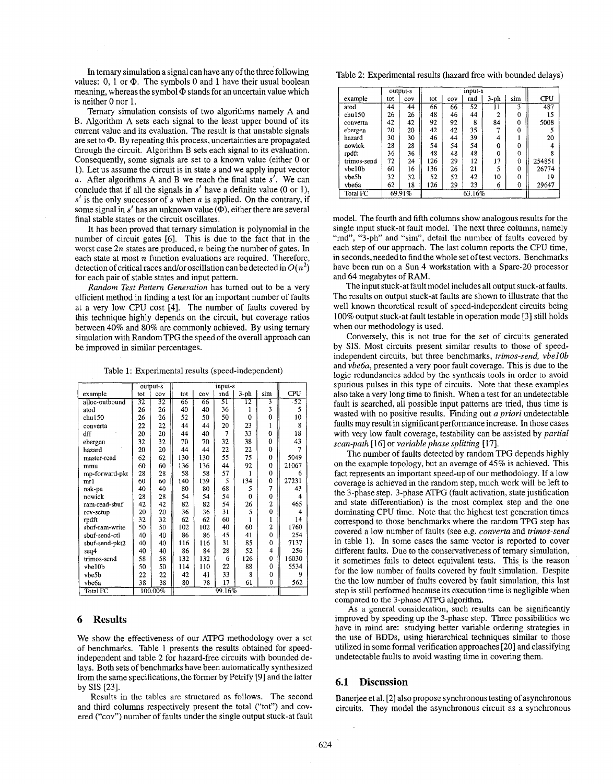In ternary simulation a signal can have any of the three following values: 0, 1 or  $\Phi$ . The symbols 0 and 1 have their usual boolean meaning, whereas the symbol  $\Phi$  stands for an uncertain value which is neither 0 nor 1.

Temary simulation consists of two algorithms namely A and B. Algorithm A sets each signal to the least upper bound of its current value and its evaluation. The result is that unstable signals are set to  $\Phi$ . By repeating this process, uncertainties are propagated through the circuit. Algorithm B sets each signal to its evaluation. Consequently, some signals are set to a known value (either 0 or 1). Let us assume the circuit is in state s and we apply input vector *a*. After algorithms A and B we reach the final state  $s'$ . We can conclude that if all the signals in  $s'$  have a definite value (0 or 1),  $s'$  is the only successor of s when a is applied. On the contrary, if some signal in s' has an unknown value **(** $\Phi$ ), either there are several final stable states or the circuit oscillates.

It has been proved that temary simulation is polynomial in the number of circuit gates [6]. This is due to the fact that in the worst case *2n* states are produced, *n* being the number of gates. In each state at most *n* function evaluations are required. Therefore, detection of critical races and/or oscillation can be detected in  $O(n^2)$ for each pair of stable states and input pattern.

*Random Test Pattern Generation* has tumed out to be a very efficient method in finding a test for an important number of faults at a very low CPU cost [4]. The number of faults covered by this technique highly depends on the circuit, but coverage ratios between 40% and 80% are commonly achieved. By using temary simulation with Random TPG the speed of the overall approach can be improved in similar percentages.

Table 1: Experimental results (speed-independent)

|                |                 | output-s   |        |     |     |          |                |                         |
|----------------|-----------------|------------|--------|-----|-----|----------|----------------|-------------------------|
| example        | tot             | cov        | tot    | cov | rnd | $3$ -ph  | sim            | <b>CPU</b>              |
| alloc-outbound | $\overline{32}$ | 32         | 66     | 66  | 31  | 12       | 3              | $\overline{52}$         |
| atod           | 26              | 26         | 40     | 40  | 36  | 1        | 3              | 5                       |
| chu150         | 26              | 26         | 52     | 50  | 50  | $\bf{0}$ | $\mathbf 0$    | 10                      |
| converta       | 22              | 22         | 44     | 44  | 20  | 23       | 1              | 8                       |
| dff            | 20              | 20         | 44     | 40  | 7   | 33       | $\mathbf 0$    | 18                      |
| ebergen        | 32              | 32         | 70     | 70  | 32  | 38       | $\mathbf 0$    | 43                      |
| hazard         | 20              | 20         | 44     | 44  | 22  | 22       | 0              |                         |
| master-read    | 62              | 62         | 130    | 130 | 55  | 75       | 0              | 5049                    |
| mmu            | 60              | 60         | 136    | 136 | 44  | 92       | 0              | 21067                   |
| mp-forward-pkt | 28              | 28         | 58     | 58  | 57  | 1        | 0              | 6                       |
| mr1            | 60              | 60         | 140    | 139 | 5   | 134      | 0              | 27231                   |
| nak-pa         | 40              | 40         | 80     | 80  | 68  | 5        | $\overline{7}$ | 43                      |
| nowick         | 28              | 28         | 54     | 54  | 54  | 0        | $\bf{0}$       | 4                       |
| ram-read-sbuf  | 42              | 42         | 82     | 82  | 54  | 26       | $\overline{c}$ | 465                     |
| rcv-setup      | 20              | $^{20}$    | 36     | 36  | 31  | 5        | $\bf{0}$       | $\overline{\mathbf{4}}$ |
| rodft          | 32              | 32         | 62     | 62  | 60  | 1        | 1              | 14                      |
| sbuf-ram-write | 50              | 50         | 102    | 102 | 40  | 60       | $\overline{c}$ | 1760                    |
| sbuf-send-ctl  | 40              | 40         | 86     | 86  | 45  | 41       | $\bf{0}$       | 254                     |
| sbuf-send-pkt2 | 40              | 40         | 116    | 116 | 31  | 85       | 0              | 7137                    |
| seq4           | 40              | 40         | 86     | 84  | 28  | 52       | 4              | 256                     |
| trimos-send    | 58              | 58         | 132    | 132 | 6   | 126      | $\bf{0}$       | 16030                   |
| vbe10b         | 50              | 50         | 114    | 110 | 22  | 88       | 0              | 5534                    |
| vbe5b          | 22              | 22         | 42     | 41  | 33  | 8        | 0              | 9                       |
| vbe6a          | 38              | 38         | 80     | 78  | 17  | 61       | $\bf{0}$       | 562                     |
| Total FC       |                 | $100.00\%$ | 99.16% |     |     |          |                |                         |

#### **6 Results**

We show the effectiveness of our ATPG methodology over a set of benchmarks. Table 1 presents the results obtained for speedindependent and table *2* for hazard-free circuits with bounded delays. Both sets of benchmarks have been automatically synthesized from the same specifications, the former by Petrify [9] and the latter by SIS [23].

Results in the tables are structured as follows. The second and third columns respectively present the total ("tot") and covered ("cov") number of faults under the single output stuck-at fault Table 2: Experimental results (hazard free with bounded delays)

|                 | output-s |        |     |        |     |              |          |            |  |
|-----------------|----------|--------|-----|--------|-----|--------------|----------|------------|--|
| example         | tot      | cov    | tot | cov    | rnd | $3$ -ph      | sim      | <b>CPU</b> |  |
| atod            | 44       | 44     | 66  | 66     | 52  | 11           | 3        | 487        |  |
| chu150          | 26       | 26     | 48  | 46     | 44  | $\mathbf{2}$ | 0        | 15         |  |
| converta        | 42       | 42     | 92  | 92     | 8   | 84           | 0        | 5008       |  |
| ebergen         | 20       | 20     | 42  | 42     | 35  |              | 0        |            |  |
| hazard          | 30       | 30     | 46  | 44     | 39  | 4            |          | 20         |  |
| nowick          | 28       | 28     | 54  | 54     | 54  | 0            | 0        |            |  |
| rpdft           | 36       | 36     | 48  | 48     | 48  | $\Omega$     | $\Omega$ |            |  |
| trimos-send     | 72       | 24     | 126 | 29     | 12  | 17           | $\Omega$ | 254851     |  |
| vbe10b          | 60       | 16     | 136 | 26     | 21  | 5            | $\theta$ | 26774      |  |
| vbe5b           | 32       | 32     | 52  | 52     | 42  | 10           | 0        | 19         |  |
| vbe6a           | 62       | 18     | 126 | 29     | 23  | 6            | 0        | 29647      |  |
| <b>Total FC</b> |          | 69.91% |     | 63.16% |     |              |          |            |  |

model. The fourth and fifth columns show analogous results for the single input stuck-at fault model. The next three columns, namely "md", "3-ph" and "sim", detail the number of faults covered by each step of our approach. The last column reports the CPU time, in seconds, needed to find the whole set of test vectors. Benchmarks have been run on a Sun 4 workstation with a Sparc-20 processor and 64 megabytes of RAM.

The input stuck-at fault model includes all output stuck-at faults. The results on output stuck-at faults are shown to illustrate that the well known theoretical result of speed-independent circuits being 100% output stuck-at fault testable in operation mode [3] still holds when our methodology is used.

Conversely, this is not true for the set of circuits generated by **SIS.** Most circuits present similar results to those of speedindependent circuits, but three benchmarks, *trimos-send, vbelOb*  and *vbe6u,* presented a very poor fault coverage. This is due to the logic redundancies added by the synthesis tools in order to avoid spurious pulses in this type of circuits. Note that these examples also take a very long time to finish. When a test for an undetectable fault is searched, all possible input pattems are tried, thus time is wasted with no positive results. Finding out *a priori* undetectable faults may result in significant performance increase. In those cases with very low fault coverage, testability can be assisted by *partial scan-path* [16] or *variable phase splitting* [17].

The number of faults detected by random TPG depends highly on the example topology, but an average of 45% is achieved. This fact represents an important speed-up of our methodology. If a low coverage is achieved in the random step, much work will be left to the 3-phase step. 3-phase ATPG (fault activation, state justification and state differentiation) is the most complex step and the one dominating CPU time. Note that the highest test generation times correspond to those benchmarks where the random TPG step has covered a low number of faults (see e.g. *converta* and *trimos-send*  in table I). In some cases the same vector is reported to cover different faults. Due to the conservativeness of temary simulation, it sometimes fails to detect equivalent tests. This is the reason for the low number of faults covered by fault simulation. Despite the the low number of faults covered by fault simulation, this last step is still performed because its execution time is negligible when compared to the **3-phase ATPG** algorithm.

As a general consideration, such results can be significantly improved by speeding up the 3-phase step. Three possibilities we have in mind are: studying better variable ordering strategies in the use of BDDs, using hierarchical techniques similar to those utilized in some formal verification approaches 1201 and classifying undetectable faults to avoid wasting time in covering them.

#### **6.1 Discussion**

Banerjee et al. *[2]* also propose synchronous testing of asynchronous circuits. They model the asynchronous circuit as a synchronous